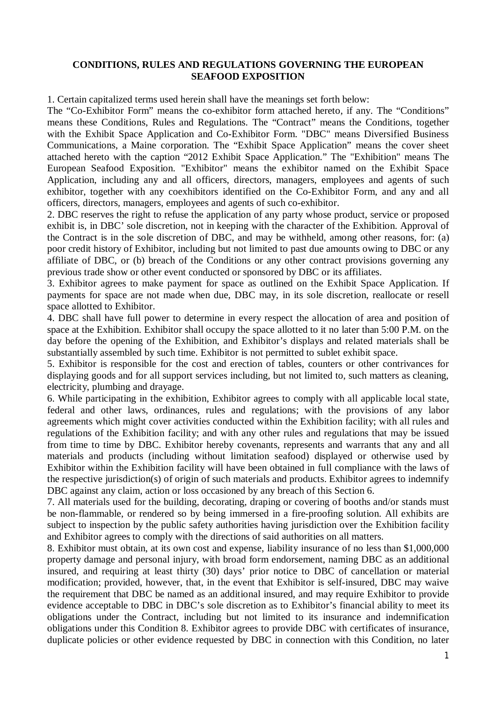## **CONDITIONS, RULES AND REGULATIONS GOVERNING THE EUROPEAN SEAFOOD EXPOSITION**

1. Certain capitalized terms used herein shall have the meanings set forth below:

The "Co-Exhibitor Form" means the co-exhibitor form attached hereto, if any. The "Conditions" means these Conditions, Rules and Regulations. The "Contract" means the Conditions, together with the Exhibit Space Application and Co-Exhibitor Form. "DBC" means Diversified Business Communications, a Maine corporation. The "Exhibit Space Application" means the cover sheet attached hereto with the caption "2012 Exhibit Space Application." The "Exhibition" means The European Seafood Exposition. "Exhibitor" means the exhibitor named on the Exhibit Space Application, including any and all officers, directors, managers, employees and agents of such exhibitor, together with any coexhibitors identified on the Co-Exhibitor Form, and any and all officers, directors, managers, employees and agents of such co-exhibitor.

2. DBC reserves the right to refuse the application of any party whose product, service or proposed exhibit is, in DBC' sole discretion, not in keeping with the character of the Exhibition. Approval of the Contract is in the sole discretion of DBC, and may be withheld, among other reasons, for: (a) poor credit history of Exhibitor, including but not limited to past due amounts owing to DBC or any affiliate of DBC, or (b) breach of the Conditions or any other contract provisions governing any previous trade show or other event conducted or sponsored by DBC or its affiliates.

3. Exhibitor agrees to make payment for space as outlined on the Exhibit Space Application. If payments for space are not made when due, DBC may, in its sole discretion, reallocate or resell space allotted to Exhibitor.

4. DBC shall have full power to determine in every respect the allocation of area and position of space at the Exhibition. Exhibitor shall occupy the space allotted to it no later than 5:00 P.M. on the day before the opening of the Exhibition, and Exhibitor's displays and related materials shall be substantially assembled by such time. Exhibitor is not permitted to sublet exhibit space.

5. Exhibitor is responsible for the cost and erection of tables, counters or other contrivances for displaying goods and for all support services including, but not limited to, such matters as cleaning, electricity, plumbing and drayage.

6. While participating in the exhibition, Exhibitor agrees to comply with all applicable local state, federal and other laws, ordinances, rules and regulations; with the provisions of any labor agreements which might cover activities conducted within the Exhibition facility; with all rules and regulations of the Exhibition facility; and with any other rules and regulations that may be issued from time to time by DBC. Exhibitor hereby covenants, represents and warrants that any and all materials and products (including without limitation seafood) displayed or otherwise used by Exhibitor within the Exhibition facility will have been obtained in full compliance with the laws of the respective jurisdiction(s) of origin of such materials and products. Exhibitor agrees to indemnify DBC against any claim, action or loss occasioned by any breach of this Section 6.

7. All materials used for the building, decorating, draping or covering of booths and/or stands must be non-flammable, or rendered so by being immersed in a fire-proofing solution. All exhibits are subject to inspection by the public safety authorities having jurisdiction over the Exhibition facility and Exhibitor agrees to comply with the directions of said authorities on all matters.

8. Exhibitor must obtain, at its own cost and expense, liability insurance of no less than \$1,000,000 property damage and personal injury, with broad form endorsement, naming DBC as an additional insured, and requiring at least thirty (30) days' prior notice to DBC of cancellation or material modification; provided, however, that, in the event that Exhibitor is self-insured, DBC may waive the requirement that DBC be named as an additional insured, and may require Exhibitor to provide evidence acceptable to DBC in DBC's sole discretion as to Exhibitor's financial ability to meet its obligations under the Contract, including but not limited to its insurance and indemnification obligations under this Condition 8. Exhibitor agrees to provide DBC with certificates of insurance, duplicate policies or other evidence requested by DBC in connection with this Condition, no later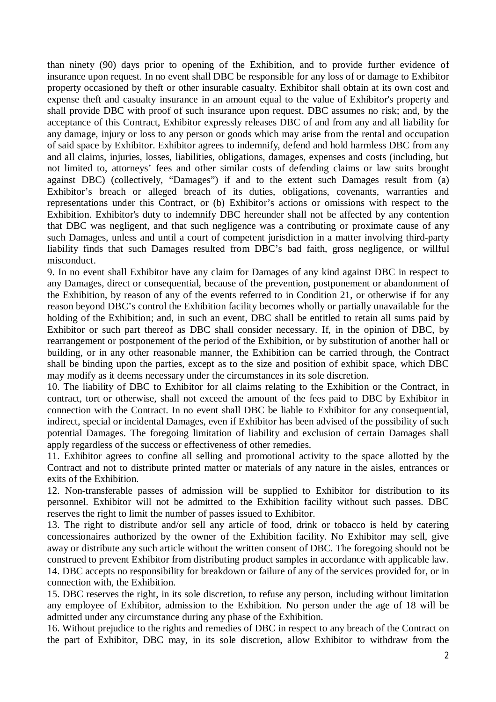than ninety (90) days prior to opening of the Exhibition, and to provide further evidence of insurance upon request. In no event shall DBC be responsible for any loss of or damage to Exhibitor property occasioned by theft or other insurable casualty. Exhibitor shall obtain at its own cost and expense theft and casualty insurance in an amount equal to the value of Exhibitor's property and shall provide DBC with proof of such insurance upon request. DBC assumes no risk; and, by the acceptance of this Contract, Exhibitor expressly releases DBC of and from any and all liability for any damage, injury or loss to any person or goods which may arise from the rental and occupation of said space by Exhibitor. Exhibitor agrees to indemnify, defend and hold harmless DBC from any and all claims, injuries, losses, liabilities, obligations, damages, expenses and costs (including, but not limited to, attorneys' fees and other similar costs of defending claims or law suits brought against DBC) (collectively, "Damages") if and to the extent such Damages result from (a) Exhibitor's breach or alleged breach of its duties, obligations, covenants, warranties and representations under this Contract, or (b) Exhibitor's actions or omissions with respect to the Exhibition. Exhibitor's duty to indemnify DBC hereunder shall not be affected by any contention that DBC was negligent, and that such negligence was a contributing or proximate cause of any such Damages, unless and until a court of competent jurisdiction in a matter involving third-party liability finds that such Damages resulted from DBC's bad faith, gross negligence, or willful misconduct.

9. In no event shall Exhibitor have any claim for Damages of any kind against DBC in respect to any Damages, direct or consequential, because of the prevention, postponement or abandonment of the Exhibition, by reason of any of the events referred to in Condition 21, or otherwise if for any reason beyond DBC's control the Exhibition facility becomes wholly or partially unavailable for the holding of the Exhibition; and, in such an event, DBC shall be entitled to retain all sums paid by Exhibitor or such part thereof as DBC shall consider necessary. If, in the opinion of DBC, by rearrangement or postponement of the period of the Exhibition, or by substitution of another hall or building, or in any other reasonable manner, the Exhibition can be carried through, the Contract shall be binding upon the parties, except as to the size and position of exhibit space, which DBC may modify as it deems necessary under the circumstances in its sole discretion.

10. The liability of DBC to Exhibitor for all claims relating to the Exhibition or the Contract, in contract, tort or otherwise, shall not exceed the amount of the fees paid to DBC by Exhibitor in connection with the Contract. In no event shall DBC be liable to Exhibitor for any consequential, indirect, special or incidental Damages, even if Exhibitor has been advised of the possibility of such potential Damages. The foregoing limitation of liability and exclusion of certain Damages shall apply regardless of the success or effectiveness of other remedies.

11. Exhibitor agrees to confine all selling and promotional activity to the space allotted by the Contract and not to distribute printed matter or materials of any nature in the aisles, entrances or exits of the Exhibition.

12. Non-transferable passes of admission will be supplied to Exhibitor for distribution to its personnel. Exhibitor will not be admitted to the Exhibition facility without such passes. DBC reserves the right to limit the number of passes issued to Exhibitor.

13. The right to distribute and/or sell any article of food, drink or tobacco is held by catering concessionaires authorized by the owner of the Exhibition facility. No Exhibitor may sell, give away or distribute any such article without the written consent of DBC. The foregoing should not be construed to prevent Exhibitor from distributing product samples in accordance with applicable law.

14. DBC accepts no responsibility for breakdown or failure of any of the services provided for, or in connection with, the Exhibition.

15. DBC reserves the right, in its sole discretion, to refuse any person, including without limitation any employee of Exhibitor, admission to the Exhibition. No person under the age of 18 will be admitted under any circumstance during any phase of the Exhibition.

16. Without prejudice to the rights and remedies of DBC in respect to any breach of the Contract on the part of Exhibitor, DBC may, in its sole discretion, allow Exhibitor to withdraw from the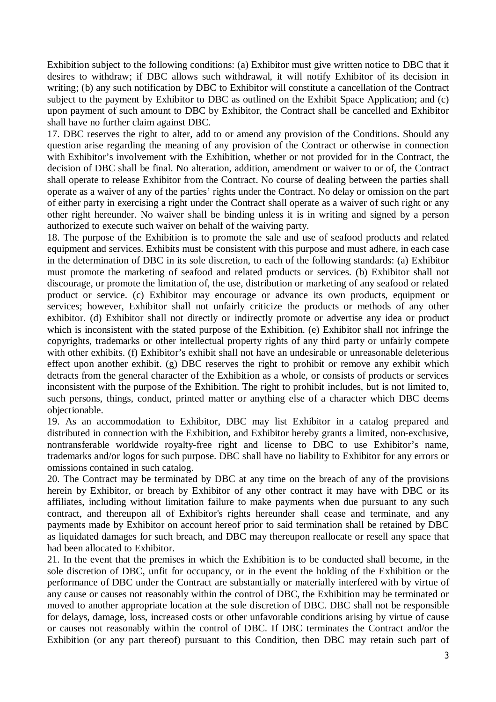Exhibition subject to the following conditions: (a) Exhibitor must give written notice to DBC that it desires to withdraw; if DBC allows such withdrawal, it will notify Exhibitor of its decision in writing; (b) any such notification by DBC to Exhibitor will constitute a cancellation of the Contract subject to the payment by Exhibitor to DBC as outlined on the Exhibit Space Application; and (c) upon payment of such amount to DBC by Exhibitor, the Contract shall be cancelled and Exhibitor shall have no further claim against DBC.

17. DBC reserves the right to alter, add to or amend any provision of the Conditions. Should any question arise regarding the meaning of any provision of the Contract or otherwise in connection with Exhibitor's involvement with the Exhibition, whether or not provided for in the Contract, the decision of DBC shall be final. No alteration, addition, amendment or waiver to or of, the Contract shall operate to release Exhibitor from the Contract. No course of dealing between the parties shall operate as a waiver of any of the parties' rights under the Contract. No delay or omission on the part of either party in exercising a right under the Contract shall operate as a waiver of such right or any other right hereunder. No waiver shall be binding unless it is in writing and signed by a person authorized to execute such waiver on behalf of the waiving party.

18. The purpose of the Exhibition is to promote the sale and use of seafood products and related equipment and services. Exhibits must be consistent with this purpose and must adhere, in each case in the determination of DBC in its sole discretion, to each of the following standards: (a) Exhibitor must promote the marketing of seafood and related products or services. (b) Exhibitor shall not discourage, or promote the limitation of, the use, distribution or marketing of any seafood or related product or service. (c) Exhibitor may encourage or advance its own products, equipment or services; however, Exhibitor shall not unfairly criticize the products or methods of any other exhibitor. (d) Exhibitor shall not directly or indirectly promote or advertise any idea or product which is inconsistent with the stated purpose of the Exhibition. (e) Exhibitor shall not infringe the copyrights, trademarks or other intellectual property rights of any third party or unfairly compete with other exhibits. (f) Exhibitor's exhibit shall not have an undesirable or unreasonable deleterious effect upon another exhibit. (g) DBC reserves the right to prohibit or remove any exhibit which detracts from the general character of the Exhibition as a whole, or consists of products or services inconsistent with the purpose of the Exhibition. The right to prohibit includes, but is not limited to, such persons, things, conduct, printed matter or anything else of a character which DBC deems objectionable.

19. As an accommodation to Exhibitor, DBC may list Exhibitor in a catalog prepared and distributed in connection with the Exhibition, and Exhibitor hereby grants a limited, non-exclusive, nontransferable worldwide royalty-free right and license to DBC to use Exhibitor's name, trademarks and/or logos for such purpose. DBC shall have no liability to Exhibitor for any errors or omissions contained in such catalog.

20. The Contract may be terminated by DBC at any time on the breach of any of the provisions herein by Exhibitor, or breach by Exhibitor of any other contract it may have with DBC or its affiliates, including without limitation failure to make payments when due pursuant to any such contract, and thereupon all of Exhibitor's rights hereunder shall cease and terminate, and any payments made by Exhibitor on account hereof prior to said termination shall be retained by DBC as liquidated damages for such breach, and DBC may thereupon reallocate or resell any space that had been allocated to Exhibitor.

21. In the event that the premises in which the Exhibition is to be conducted shall become, in the sole discretion of DBC, unfit for occupancy, or in the event the holding of the Exhibition or the performance of DBC under the Contract are substantially or materially interfered with by virtue of any cause or causes not reasonably within the control of DBC, the Exhibition may be terminated or moved to another appropriate location at the sole discretion of DBC. DBC shall not be responsible for delays, damage, loss, increased costs or other unfavorable conditions arising by virtue of cause or causes not reasonably within the control of DBC. If DBC terminates the Contract and/or the Exhibition (or any part thereof) pursuant to this Condition, then DBC may retain such part of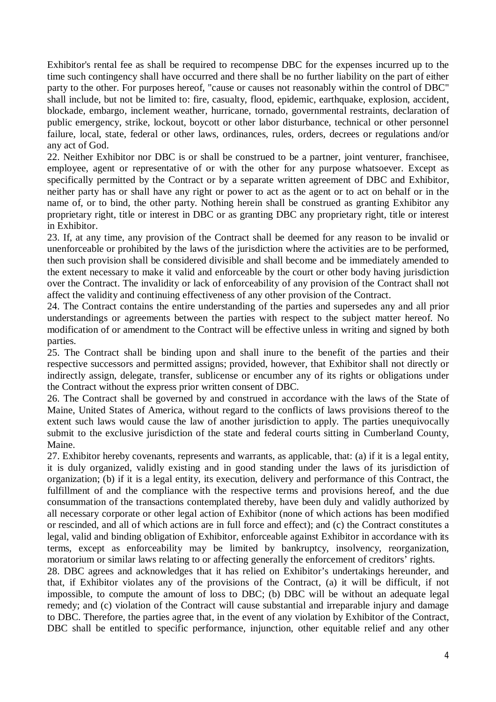Exhibitor's rental fee as shall be required to recompense DBC for the expenses incurred up to the time such contingency shall have occurred and there shall be no further liability on the part of either party to the other. For purposes hereof, "cause or causes not reasonably within the control of DBC" shall include, but not be limited to: fire, casualty, flood, epidemic, earthquake, explosion, accident, blockade, embargo, inclement weather, hurricane, tornado, governmental restraints, declaration of public emergency, strike, lockout, boycott or other labor disturbance, technical or other personnel failure, local, state, federal or other laws, ordinances, rules, orders, decrees or regulations and/or any act of God.

22. Neither Exhibitor nor DBC is or shall be construed to be a partner, joint venturer, franchisee, employee, agent or representative of or with the other for any purpose whatsoever. Except as specifically permitted by the Contract or by a separate written agreement of DBC and Exhibitor, neither party has or shall have any right or power to act as the agent or to act on behalf or in the name of, or to bind, the other party. Nothing herein shall be construed as granting Exhibitor any proprietary right, title or interest in DBC or as granting DBC any proprietary right, title or interest in Exhibitor.

23. If, at any time, any provision of the Contract shall be deemed for any reason to be invalid or unenforceable or prohibited by the laws of the jurisdiction where the activities are to be performed, then such provision shall be considered divisible and shall become and be immediately amended to the extent necessary to make it valid and enforceable by the court or other body having jurisdiction over the Contract. The invalidity or lack of enforceability of any provision of the Contract shall not affect the validity and continuing effectiveness of any other provision of the Contract.

24. The Contract contains the entire understanding of the parties and supersedes any and all prior understandings or agreements between the parties with respect to the subject matter hereof. No modification of or amendment to the Contract will be effective unless in writing and signed by both parties.

25. The Contract shall be binding upon and shall inure to the benefit of the parties and their respective successors and permitted assigns; provided, however, that Exhibitor shall not directly or indirectly assign, delegate, transfer, sublicense or encumber any of its rights or obligations under the Contract without the express prior written consent of DBC.

26. The Contract shall be governed by and construed in accordance with the laws of the State of Maine, United States of America, without regard to the conflicts of laws provisions thereof to the extent such laws would cause the law of another jurisdiction to apply. The parties unequivocally submit to the exclusive jurisdiction of the state and federal courts sitting in Cumberland County, Maine.

27. Exhibitor hereby covenants, represents and warrants, as applicable, that: (a) if it is a legal entity, it is duly organized, validly existing and in good standing under the laws of its jurisdiction of organization; (b) if it is a legal entity, its execution, delivery and performance of this Contract, the fulfillment of and the compliance with the respective terms and provisions hereof, and the due consummation of the transactions contemplated thereby, have been duly and validly authorized by all necessary corporate or other legal action of Exhibitor (none of which actions has been modified or rescinded, and all of which actions are in full force and effect); and (c) the Contract constitutes a legal, valid and binding obligation of Exhibitor, enforceable against Exhibitor in accordance with its terms, except as enforceability may be limited by bankruptcy, insolvency, reorganization, moratorium or similar laws relating to or affecting generally the enforcement of creditors' rights.

28. DBC agrees and acknowledges that it has relied on Exhibitor's undertakings hereunder, and that, if Exhibitor violates any of the provisions of the Contract, (a) it will be difficult, if not impossible, to compute the amount of loss to DBC; (b) DBC will be without an adequate legal remedy; and (c) violation of the Contract will cause substantial and irreparable injury and damage to DBC. Therefore, the parties agree that, in the event of any violation by Exhibitor of the Contract, DBC shall be entitled to specific performance, injunction, other equitable relief and any other